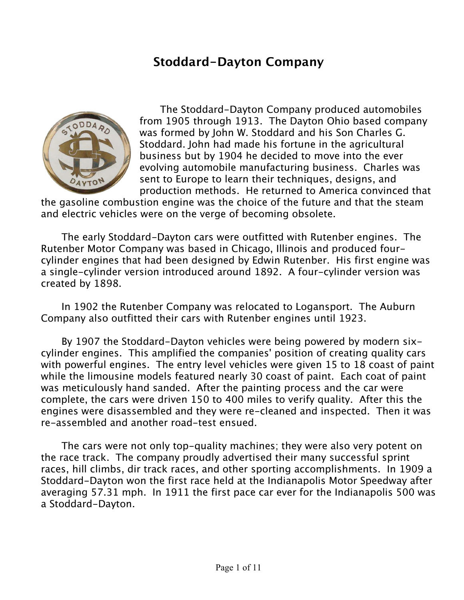#### **Stoddard-Dayton Company**



The Stoddard-Dayton Company produced automobiles from 1905 through 1913. The Dayton Ohio based company was formed by John W. Stoddard and his Son Charles G. Stoddard. John had made his fortune in the agricultural business but by 1904 he decided to move into the ever evolving automobile manufacturing business. Charles was sent to Europe to learn their techniques, designs, and production methods. He returned to America convinced that

the gasoline combustion engine was the choice of the future and that the steam and electric vehicles were on the verge of becoming obsolete.

The early Stoddard-Dayton cars were outfitted with Rutenber engines. The Rutenber Motor Company was based in Chicago, Illinois and produced fourcylinder engines that had been designed by Edwin Rutenber. His first engine was a single-cylinder version introduced around 1892. A four-cylinder version was created by 1898.

In 1902 the Rutenber Company was relocated to Logansport. The Auburn Company also outfitted their cars with Rutenber engines until 1923.

By 1907 the Stoddard-Dayton vehicles were being powered by modern sixcylinder engines. This amplified the companies' position of creating quality cars with powerful engines. The entry level vehicles were given 15 to 18 coast of paint while the limousine models featured nearly 30 coast of paint. Each coat of paint was meticulously hand sanded. After the painting process and the car were complete, the cars were driven 150 to 400 miles to verify quality. After this the engines were disassembled and they were re-cleaned and inspected. Then it was re-assembled and another road-test ensued.

The cars were not only top-quality machines; they were also very potent on the race track. The company proudly advertised their many successful sprint races, hill climbs, dir track races, and other sporting accomplishments. In 1909 a Stoddard-Dayton won the first race held at the Indianapolis Motor Speedway after averaging 57.31 mph. In 1911 the first pace car ever for the Indianapolis 500 was a Stoddard-Dayton.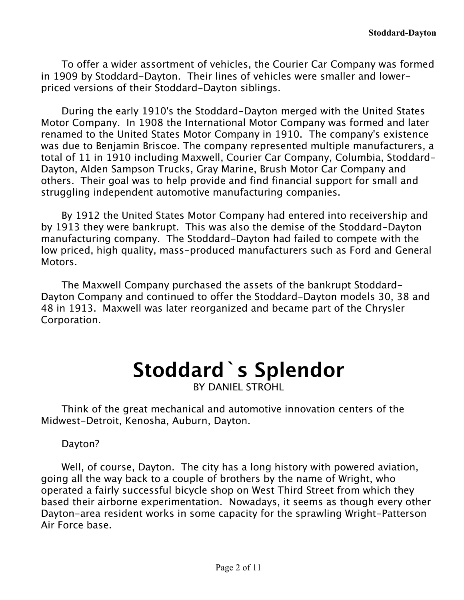To offer a wider assortment of vehicles, the Courier Car Company was formed in 1909 by Stoddard-Dayton. Their lines of vehicles were smaller and lowerpriced versions of their Stoddard-Dayton siblings.

During the early 1910's the Stoddard-Dayton merged with the United States Motor Company. In 1908 the International Motor Company was formed and later renamed to the United States Motor Company in 1910. The company's existence was due to Benjamin Briscoe. The company represented multiple manufacturers, a total of 11 in 1910 including Maxwell, Courier Car Company, Columbia, Stoddard-Dayton, Alden Sampson Trucks, Gray Marine, Brush Motor Car Company and others. Their goal was to help provide and find financial support for small and struggling independent automotive manufacturing companies.

By 1912 the United States Motor Company had entered into receivership and by 1913 they were bankrupt. This was also the demise of the Stoddard-Dayton manufacturing company. The Stoddard-Dayton had failed to compete with the low priced, high quality, mass-produced manufacturers such as Ford and General Motors.

The Maxwell Company purchased the assets of the bankrupt Stoddard-Dayton Company and continued to offer the Stoddard-Dayton models 30, 38 and 48 in 1913. Maxwell was later reorganized and became part of the Chrysler Corporation.

## **Stoddard`s Splendor**

BY DANIEL STROHL

Think of the great mechanical and automotive innovation centers of the Midwest-Detroit, Kenosha, Auburn, Dayton.

Dayton?

Well, of course, Dayton. The city has a long history with powered aviation, going all the way back to a couple of brothers by the name of Wright, who operated a fairly successful bicycle shop on West Third Street from which they based their airborne experimentation. Nowadays, it seems as though every other Dayton-area resident works in some capacity for the sprawling Wright-Patterson Air Force base.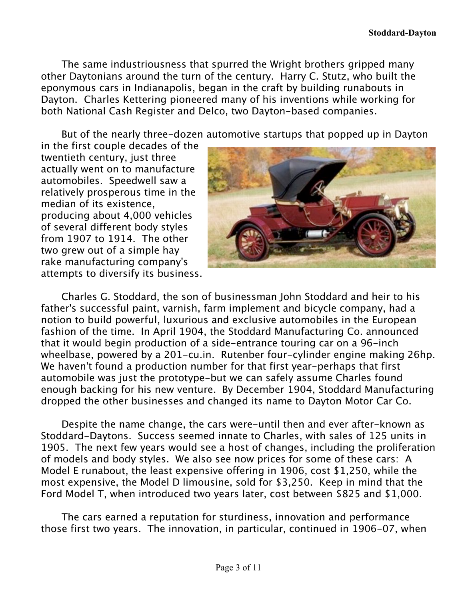The same industriousness that spurred the Wright brothers gripped many other Daytonians around the turn of the century. Harry C. Stutz, who built the eponymous cars in Indianapolis, began in the craft by building runabouts in Dayton. Charles Kettering pioneered many of his inventions while working for both National Cash Register and Delco, two Dayton-based companies.

But of the nearly three-dozen automotive startups that popped up in Dayton

in the first couple decades of the twentieth century, just three actually went on to manufacture automobiles. Speedwell saw a relatively prosperous time in the median of its existence, producing about 4,000 vehicles of several different body styles from 1907 to 1914. The other two grew out of a simple hay rake manufacturing company's attempts to diversify its business.



Charles G. Stoddard, the son of businessman John Stoddard and heir to his father's successful paint, varnish, farm implement and bicycle company, had a notion to build powerful, luxurious and exclusive automobiles in the European fashion of the time. In April 1904, the Stoddard Manufacturing Co. announced that it would begin production of a side-entrance touring car on a 96-inch wheelbase, powered by a 201-cu.in. Rutenber four-cylinder engine making 26hp. We haven't found a production number for that first year-perhaps that first automobile was just the prototype-but we can safely assume Charles found enough backing for his new venture. By December 1904, Stoddard Manufacturing dropped the other businesses and changed its name to Dayton Motor Car Co.

Despite the name change, the cars were-until then and ever after-known as Stoddard-Daytons. Success seemed innate to Charles, with sales of 125 units in 1905. The next few years would see a host of changes, including the proliferation of models and body styles. We also see now prices for some of these cars: A Model E runabout, the least expensive offering in 1906, cost \$1,250, while the most expensive, the Model D limousine, sold for \$3,250. Keep in mind that the Ford Model T, when introduced two years later, cost between \$825 and \$1,000.

The cars earned a reputation for sturdiness, innovation and performance those first two years. The innovation, in particular, continued in 1906-07, when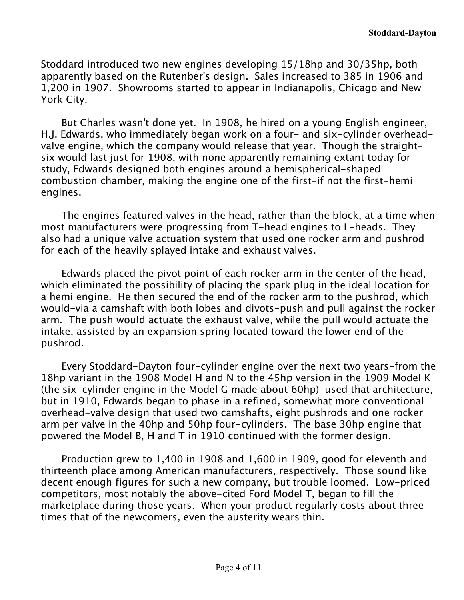Stoddard introduced two new engines developing 15/18hp and 30/35hp, both apparently based on the Rutenber's design. Sales increased to 385 in 1906 and 1,200 in 1907. Showrooms started to appear in Indianapolis, Chicago and New York City.

But Charles wasn't done yet. In 1908, he hired on a young English engineer, H.J. Edwards, who immediately began work on a four- and six-cylinder overheadvalve engine, which the company would release that year. Though the straightsix would last just for 1908, with none apparently remaining extant today for study, Edwards designed both engines around a hemispherical-shaped combustion chamber, making the engine one of the first-if not the first-hemi engines.

The engines featured valves in the head, rather than the block, at a time when most manufacturers were progressing from T-head engines to L-heads. They also had a unique valve actuation system that used one rocker arm and pushrod for each of the heavily splayed intake and exhaust valves.

Edwards placed the pivot point of each rocker arm in the center of the head, which eliminated the possibility of placing the spark plug in the ideal location for a hemi engine. He then secured the end of the rocker arm to the pushrod, which would-via a camshaft with both lobes and divots-push and pull against the rocker arm. The push would actuate the exhaust valve, while the pull would actuate the intake, assisted by an expansion spring located toward the lower end of the pushrod.

Every Stoddard-Dayton four-cylinder engine over the next two years-from the 18hp variant in the 1908 Model H and N to the 45hp version in the 1909 Model K (the six-cylinder engine in the Model G made about 60hp)-used that architecture, but in 1910, Edwards began to phase in a refined, somewhat more conventional overhead-valve design that used two camshafts, eight pushrods and one rocker arm per valve in the 40hp and 50hp four-cylinders. The base 30hp engine that powered the Model B, H and T in 1910 continued with the former design.

Production grew to 1,400 in 1908 and 1,600 in 1909, good for eleventh and thirteenth place among American manufacturers, respectively. Those sound like decent enough figures for such a new company, but trouble loomed. Low-priced competitors, most notably the above-cited Ford Model T, began to fill the marketplace during those years. When your product regularly costs about three times that of the newcomers, even the austerity wears thin.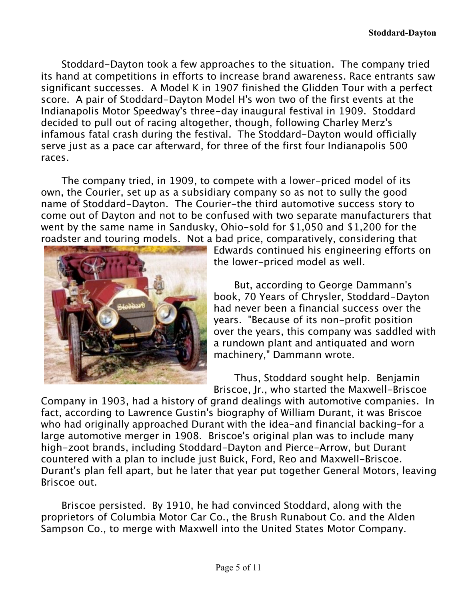Stoddard-Dayton took a few approaches to the situation. The company tried its hand at competitions in efforts to increase brand awareness. Race entrants saw significant successes. A Model K in 1907 finished the Glidden Tour with a perfect score. A pair of Stoddard-Dayton Model H's won two of the first events at the Indianapolis Motor Speedway's three-day inaugural festival in 1909. Stoddard decided to pull out of racing altogether, though, following Charley Merz's infamous fatal crash during the festival. The Stoddard-Dayton would officially serve just as a pace car afterward, for three of the first four Indianapolis 500 races.

The company tried, in 1909, to compete with a lower-priced model of its own, the Courier, set up as a subsidiary company so as not to sully the good name of Stoddard-Dayton. The Courier-the third automotive success story to come out of Dayton and not to be confused with two separate manufacturers that went by the same name in Sandusky, Ohio-sold for \$1,050 and \$1,200 for the roadster and touring models. Not a bad price, comparatively, considering that



Edwards continued his engineering efforts on the lower-priced model as well.

But, according to George Dammann's book, 70 Years of Chrysler, Stoddard-Dayton had never been a financial success over the years. "Because of its non-profit position over the years, this company was saddled with a rundown plant and antiquated and worn machinery," Dammann wrote.

Thus, Stoddard sought help. Benjamin Briscoe, Jr., who started the Maxwell-Briscoe

Company in 1903, had a history of grand dealings with automotive companies. In fact, according to Lawrence Gustin's biography of William Durant, it was Briscoe who had originally approached Durant with the idea-and financial backing-for a large automotive merger in 1908. Briscoe's original plan was to include many high-zoot brands, including Stoddard-Dayton and Pierce-Arrow, but Durant countered with a plan to include just Buick, Ford, Reo and Maxwell-Briscoe. Durant's plan fell apart, but he later that year put together General Motors, leaving Briscoe out.

Briscoe persisted. By 1910, he had convinced Stoddard, along with the proprietors of Columbia Motor Car Co., the Brush Runabout Co. and the Alden Sampson Co., to merge with Maxwell into the United States Motor Company.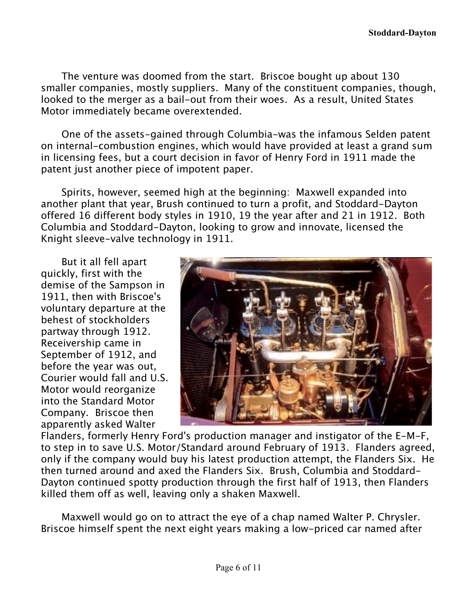The venture was doomed from the start. Briscoe bought up about 130 smaller companies, mostly suppliers. Many of the constituent companies, though, looked to the merger as a bail-out from their woes. As a result, United States Motor immediately became overextended.

One of the assets-gained through Columbia-was the infamous Selden patent on internal-combustion engines, which would have provided at least a grand sum in licensing fees, but a court decision in favor of Henry Ford in 1911 made the patent just another piece of impotent paper.

Spirits, however, seemed high at the beginning: Maxwell expanded into another plant that year, Brush continued to turn a profit, and Stoddard-Dayton offered 16 different body styles in 1910, 19 the year after and 21 in 1912. Both Columbia and Stoddard-Dayton, looking to grow and innovate, licensed the Knight sleeve-valve technology in 1911.

But it all fell apart quickly, first with the demise of the Sampson in 1911, then with Briscoe's voluntary departure at the behest of stockholders partway through 1912. Receivership came in September of 1912, and before the year was out, Courier would fall and U.S. Motor would reorganize into the Standard Motor Company. Briscoe then apparently asked Walter



Flanders, formerly Henry Ford's production manager and instigator of the E-M-F, to step in to save U.S. Motor/Standard around February of 1913. Flanders agreed, only if the company would buy his latest production attempt, the Flanders Six. He then turned around and axed the Flanders Six. Brush, Columbia and Stoddard-Dayton continued spotty production through the first half of 1913, then Flanders killed them off as well, leaving only a shaken Maxwell.

Maxwell would go on to attract the eye of a chap named Walter P. Chrysler. Briscoe himself spent the next eight years making a low-priced car named after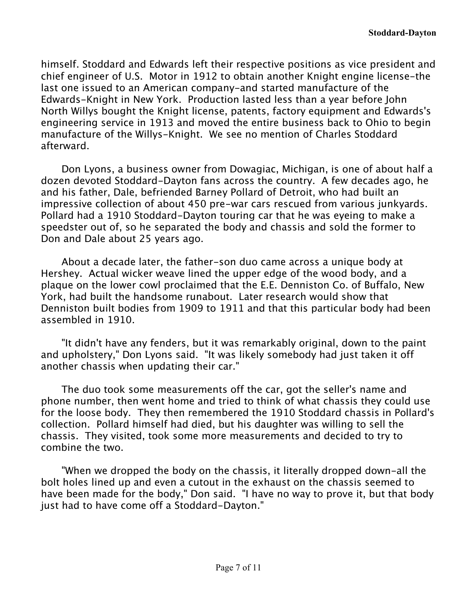himself. Stoddard and Edwards left their respective positions as vice president and chief engineer of U.S. Motor in 1912 to obtain another Knight engine license-the last one issued to an American company-and started manufacture of the Edwards-Knight in New York. Production lasted less than a year before John North Willys bought the Knight license, patents, factory equipment and Edwards's engineering service in 1913 and moved the entire business back to Ohio to begin manufacture of the Willys-Knight. We see no mention of Charles Stoddard afterward.

Don Lyons, a business owner from Dowagiac, Michigan, is one of about half a dozen devoted Stoddard-Dayton fans across the country. A few decades ago, he and his father, Dale, befriended Barney Pollard of Detroit, who had built an impressive collection of about 450 pre-war cars rescued from various junkyards. Pollard had a 1910 Stoddard-Dayton touring car that he was eyeing to make a speedster out of, so he separated the body and chassis and sold the former to Don and Dale about 25 years ago.

About a decade later, the father-son duo came across a unique body at Hershey. Actual wicker weave lined the upper edge of the wood body, and a plaque on the lower cowl proclaimed that the E.E. Denniston Co. of Buffalo, New York, had built the handsome runabout. Later research would show that Denniston built bodies from 1909 to 1911 and that this particular body had been assembled in 1910.

"It didn't have any fenders, but it was remarkably original, down to the paint and upholstery," Don Lyons said. "It was likely somebody had just taken it off another chassis when updating their car."

The duo took some measurements off the car, got the seller's name and phone number, then went home and tried to think of what chassis they could use for the loose body. They then remembered the 1910 Stoddard chassis in Pollard's collection. Pollard himself had died, but his daughter was willing to sell the chassis. They visited, took some more measurements and decided to try to combine the two.

"When we dropped the body on the chassis, it literally dropped down-all the bolt holes lined up and even a cutout in the exhaust on the chassis seemed to have been made for the body," Don said. "I have no way to prove it, but that body just had to have come off a Stoddard-Dayton."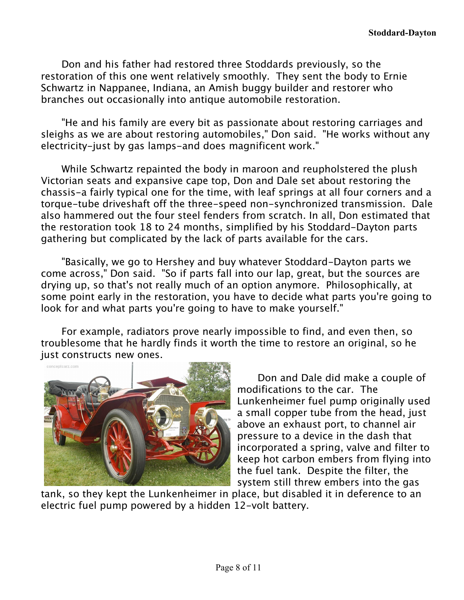Don and his father had restored three Stoddards previously, so the restoration of this one went relatively smoothly. They sent the body to Ernie Schwartz in Nappanee, Indiana, an Amish buggy builder and restorer who branches out occasionally into antique automobile restoration.

"He and his family are every bit as passionate about restoring carriages and sleighs as we are about restoring automobiles," Don said. "He works without any electricity-just by gas lamps-and does magnificent work."

While Schwartz repainted the body in maroon and reupholstered the plush Victorian seats and expansive cape top, Don and Dale set about restoring the chassis-a fairly typical one for the time, with leaf springs at all four corners and a torque-tube driveshaft off the three-speed non-synchronized transmission. Dale also hammered out the four steel fenders from scratch. In all, Don estimated that the restoration took 18 to 24 months, simplified by his Stoddard-Dayton parts gathering but complicated by the lack of parts available for the cars.

"Basically, we go to Hershey and buy whatever Stoddard-Dayton parts we come across," Don said. "So if parts fall into our lap, great, but the sources are drying up, so that's not really much of an option anymore. Philosophically, at some point early in the restoration, you have to decide what parts you're going to look for and what parts you're going to have to make yourself."

For example, radiators prove nearly impossible to find, and even then, so troublesome that he hardly finds it worth the time to restore an original, so he just constructs new ones.



Don and Dale did make a couple of modifications to the car. The Lunkenheimer fuel pump originally used a small copper tube from the head, just above an exhaust port, to channel air pressure to a device in the dash that incorporated a spring, valve and filter to keep hot carbon embers from flying into the fuel tank. Despite the filter, the system still threw embers into the gas

tank, so they kept the Lunkenheimer in place, but disabled it in deference to an electric fuel pump powered by a hidden 12-volt battery.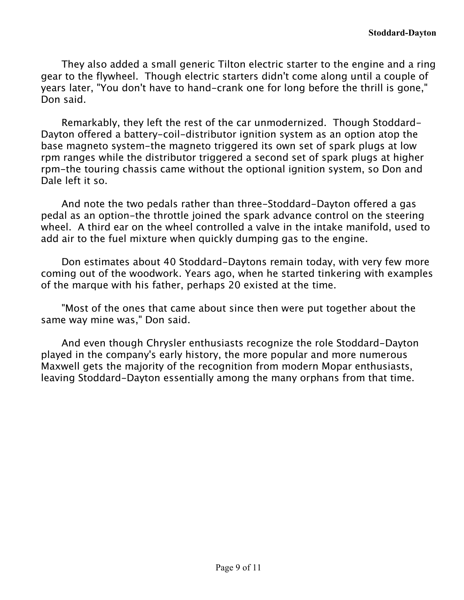They also added a small generic Tilton electric starter to the engine and a ring gear to the flywheel. Though electric starters didn't come along until a couple of years later, "You don't have to hand-crank one for long before the thrill is gone," Don said.

Remarkably, they left the rest of the car unmodernized. Though Stoddard-Dayton offered a battery-coil-distributor ignition system as an option atop the base magneto system-the magneto triggered its own set of spark plugs at low rpm ranges while the distributor triggered a second set of spark plugs at higher rpm-the touring chassis came without the optional ignition system, so Don and Dale left it so.

And note the two pedals rather than three-Stoddard-Dayton offered a gas pedal as an option-the throttle joined the spark advance control on the steering wheel. A third ear on the wheel controlled a valve in the intake manifold, used to add air to the fuel mixture when quickly dumping gas to the engine.

Don estimates about 40 Stoddard-Daytons remain today, with very few more coming out of the woodwork. Years ago, when he started tinkering with examples of the marque with his father, perhaps 20 existed at the time.

"Most of the ones that came about since then were put together about the same way mine was," Don said.

And even though Chrysler enthusiasts recognize the role Stoddard-Dayton played in the company's early history, the more popular and more numerous Maxwell gets the majority of the recognition from modern Mopar enthusiasts, leaving Stoddard-Dayton essentially among the many orphans from that time.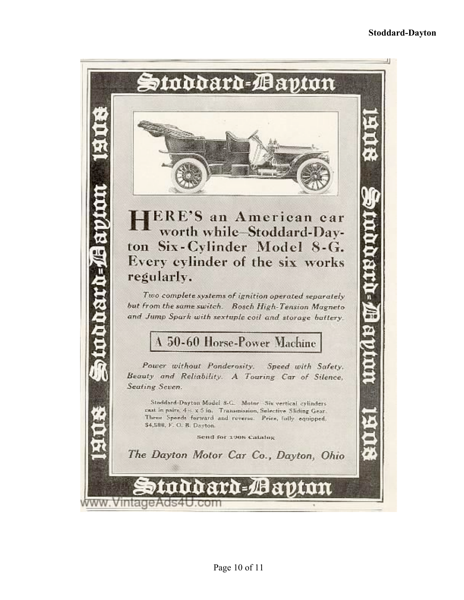